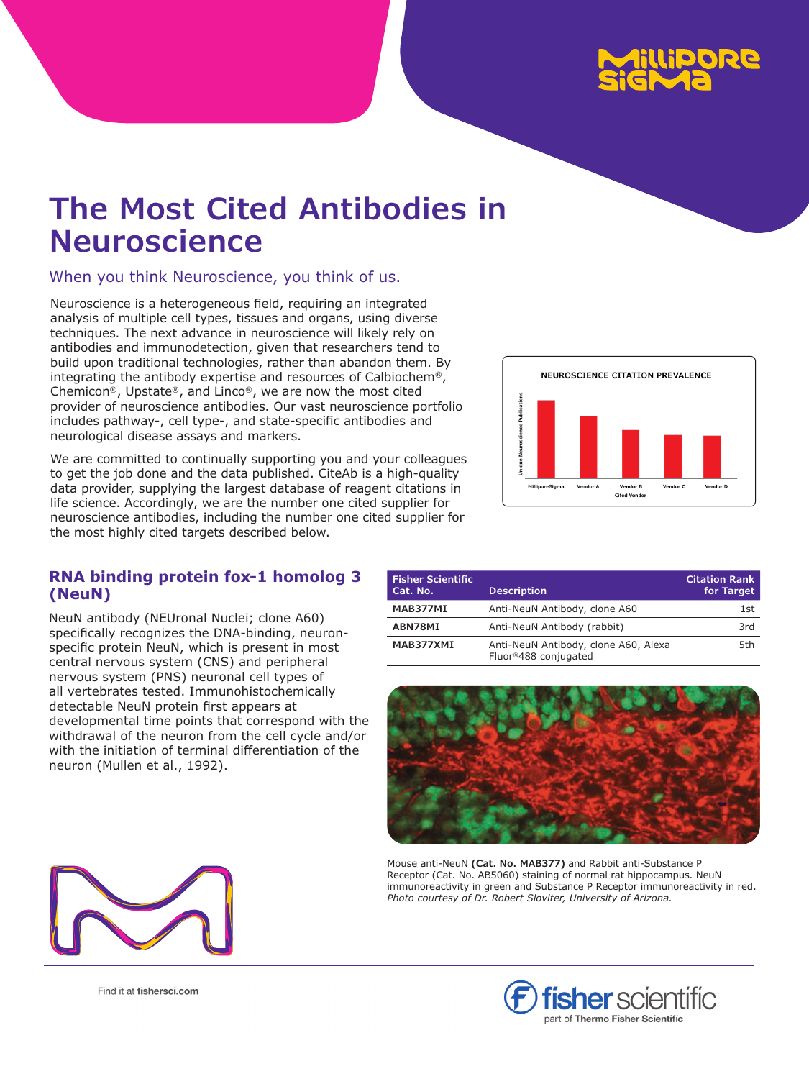

# **The Most Cited Antibodies in Neuroscience**

When you think Neuroscience, you think of us.

Neuroscience is a heterogeneous field, requiring an integrated analysis of multiple cell types, tissues and organs, using diverse techniques. The next advance in neuroscience will likely rely on antibodies and immunodetection, given that researchers tend to build upon traditional technologies, rather than abandon them. By integrating the antibody expertise and resources of Calbiochem®, Chemicon®, Upstate®, and Linco®, we are now the most cited provider of neuroscience antibodies. Our vast neuroscience portfolio includes pathway-, cell type-, and state-specific antibodies and neurological disease assays and markers.

We are committed to continually supporting you and your colleagues to get the job done and the data published. CiteAb is a high-quality data provider, supplying the largest database of reagent citations in life science. Accordingly, we are the number one cited supplier for neuroscience antibodies, including the number one cited supplier for the most highly cited targets described below.

# **RNA binding protein fox-1 homolog 3 (NeuN)**

NeuN antibody (NEUronal Nuclei; clone A60) specifically recognizes the DNA-binding, neuronspecific protein NeuN, which is present in most central nervous system (CNS) and peripheral nervous system (PNS) neuronal cell types of all vertebrates tested. Immunohistochemically detectable NeuN protein first appears at developmental time points that correspond with the withdrawal of the neuron from the cell cycle and/or with the initiation of terminal differentiation of the neuron (Mullen et al., 1992).



| <b>Fisher Scientific</b><br>Cat. No. | <b>Description</b>                                           | <b>Citation Rank</b><br>for Target |
|--------------------------------------|--------------------------------------------------------------|------------------------------------|
| MAB377MI                             | Anti-NeuN Antibody, clone A60                                | 1st                                |
| ABN78MI                              | Anti-NeuN Antibody (rabbit)                                  | 3rd                                |
| MAB377XMI                            | Anti-NeuN Antibody, clone A60, Alexa<br>Fluor®488 conjugated | 5th                                |



Mouse anti-NeuN **(Cat. No. MAB377)** and Rabbit anti-Substance P Receptor (Cat. No. AB5060) staining of normal rat hippocampus. NeuN immunoreactivity in green and Substance P Receptor immunoreactivity in red. *Photo courtesy of Dr. Robert Sloviter, University of Arizona.*



Find it at fishersci.com

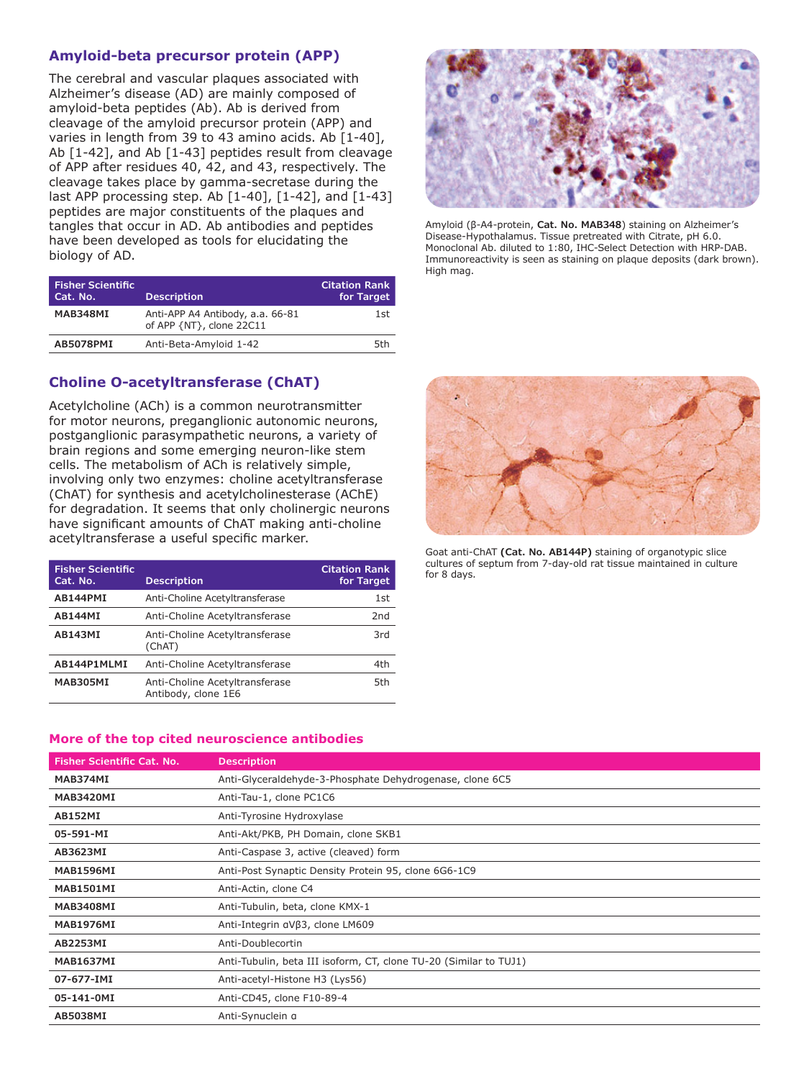## **Amyloid-beta precursor protein (APP)**

The cerebral and vascular plaques associated with Alzheimer's disease (AD) are mainly composed of amyloid-beta peptides (Ab). Ab is derived from cleavage of the amyloid precursor protein (APP) and varies in length from 39 to 43 amino acids. Ab [1-40], Ab [1-42], and Ab [1-43] peptides result from cleavage of APP after residues 40, 42, and 43, respectively. The cleavage takes place by gamma-secretase during the last APP processing step. Ab [1-40], [1-42], and [1-43] peptides are major constituents of the plaques and tangles that occur in AD. Ab antibodies and peptides have been developed as tools for elucidating the biology of AD.

| <b>Fisher Scientific</b><br>Cat. No. | <b>Description</b>                                           | <b>Citation Rank</b><br>for Target |
|--------------------------------------|--------------------------------------------------------------|------------------------------------|
| MAB348MI                             | Anti-APP A4 Antibody, a.a. 66-81<br>of APP {NT}, clone 22C11 | 1st                                |
| AB5078PMI                            | Anti-Beta-Amyloid 1-42                                       | 5th                                |

# **Choline O-acetyltransferase (ChAT)**

Acetylcholine (ACh) is a common neurotransmitter for motor neurons, preganglionic autonomic neurons, postganglionic parasympathetic neurons, a variety of brain regions and some emerging neuron-like stem cells. The metabolism of ACh is relatively simple, involving only two enzymes: choline acetyltransferase (ChAT) for synthesis and acetylcholinesterase (AChE) for degradation. It seems that only cholinergic neurons have significant amounts of ChAT making anti-choline acetyltransferase a useful specific marker.

| <b>Fisher Scientific</b><br>Cat. No. | <b>Description</b>                                    | <b>Citation Rank</b><br>for Target |
|--------------------------------------|-------------------------------------------------------|------------------------------------|
| AB144PMI                             | Anti-Choline Acetyltransferase                        | 1st                                |
| <b>AB144MI</b>                       | Anti-Choline Acetyltransferase                        | 2nd                                |
| <b>AB143MI</b>                       | Anti-Choline Acetyltransferase<br>(ChAT)              | 3rd                                |
| AB144P1MLMI                          | Anti-Choline Acetyltransferase                        | 4th                                |
| MAB305MI                             | Anti-Choline Acetyltransferase<br>Antibody, clone 1E6 | 5th                                |



Amyloid (β-A4-protein, **Cat. No. MAB348**) staining on Alzheimer's Disease-Hypothalamus. Tissue pretreated with Citrate, pH 6.0. Monoclonal Ab. diluted to 1:80, IHC-Select Detection with HRP-DAB. Immunoreactivity is seen as staining on plaque deposits (dark brown). High mag.



Goat anti-ChAT **(Cat. No. AB144P)** staining of organotypic slice cultures of septum from 7-day-old rat tissue maintained in culture for 8 days.

#### **More of the top cited neuroscience antibodies**

| <b>Fisher Scientific Cat. No.</b> | <b>Description</b>                                                |
|-----------------------------------|-------------------------------------------------------------------|
| MAB374MI                          | Anti-Glyceraldehyde-3-Phosphate Dehydrogenase, clone 6C5          |
| MAB3420MI                         | Anti-Tau-1, clone PC1C6                                           |
| AB152MI                           | Anti-Tyrosine Hydroxylase                                         |
| 05-591-MI                         | Anti-Akt/PKB, PH Domain, clone SKB1                               |
| AB3623MI                          | Anti-Caspase 3, active (cleaved) form                             |
| MAB1596MI                         | Anti-Post Synaptic Density Protein 95, clone 6G6-1C9              |
| MAB1501MI                         | Anti-Actin, clone C4                                              |
| MAB3408MI                         | Anti-Tubulin, beta, clone KMX-1                                   |
| MAB1976MI                         | Anti-Integrin aVβ3, clone LM609                                   |
| AB2253MI                          | Anti-Doublecortin                                                 |
| MAB1637MI                         | Anti-Tubulin, beta III isoform, CT, clone TU-20 (Similar to TUJ1) |
| 07-677-IMI                        | Anti-acetyl-Histone H3 (Lys56)                                    |
| 05-141-0MI                        | Anti-CD45, clone F10-89-4                                         |
| AB5038MI                          | Anti-Synuclein a                                                  |
|                                   |                                                                   |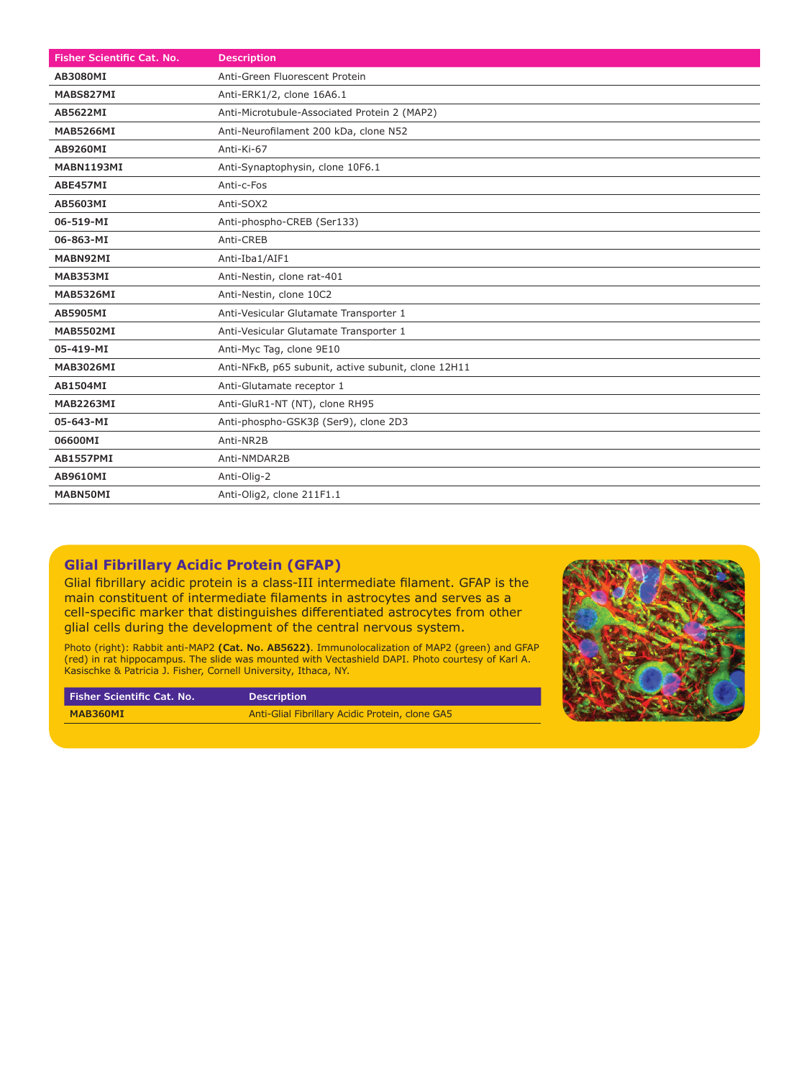| Fisher Scientific Cat. No. | <b>Description</b>                                  |
|----------------------------|-----------------------------------------------------|
| AB3080MI                   | Anti-Green Fluorescent Protein                      |
| MABS827MI                  | Anti-ERK1/2, clone 16A6.1                           |
| AB5622MI                   | Anti-Microtubule-Associated Protein 2 (MAP2)        |
| <b>MAB5266MI</b>           | Anti-Neurofilament 200 kDa, clone N52               |
| AB9260MI                   | Anti-Ki-67                                          |
| MABN1193MI                 | Anti-Synaptophysin, clone 10F6.1                    |
| ABE457MI                   | Anti-c-Fos                                          |
| AB5603MI                   | Anti-SOX2                                           |
| 06-519-MI                  | Anti-phospho-CREB (Ser133)                          |
| 06-863-MI                  | Anti-CREB                                           |
| MABN92MI                   | Anti-Iba1/AIF1                                      |
| MAB353MI                   | Anti-Nestin, clone rat-401                          |
| <b>MAB5326MI</b>           | Anti-Nestin, clone 10C2                             |
| AB5905MI                   | Anti-Vesicular Glutamate Transporter 1              |
| <b>MAB5502MI</b>           | Anti-Vesicular Glutamate Transporter 1              |
| 05-419-MI                  | Anti-Myc Tag, clone 9E10                            |
| <b>MAB3026MI</b>           | Anti-NFKB, p65 subunit, active subunit, clone 12H11 |
| AB1504MI                   | Anti-Glutamate receptor 1                           |
| <b>MAB2263MI</b>           | Anti-GluR1-NT (NT), clone RH95                      |
| 05-643-MI                  | Anti-phospho-GSK3ß (Ser9), clone 2D3                |
| 06600MI                    | Anti-NR2B                                           |
| AB1557PMI                  | Anti-NMDAR2B                                        |
| AB9610MI                   | Anti-Olig-2                                         |
| MABN50MI                   | Anti-Olig2, clone 211F1.1                           |

## **Glial Fibrillary Acidic Protein (GFAP)**

Glial fibrillary acidic protein is a class-III intermediate filament. GFAP is the main constituent of intermediate filaments in astrocytes and serves as a cell-specific marker that distinguishes differentiated astrocytes from other glial cells during the development of the central nervous system.

Photo (right): Rabbit anti-MAP2 **(Cat. No. AB5622)**. Immunolocalization of MAP2 (green) and GFAP (red) in rat hippocampus. The slide was mounted with Vectashield DAPI. Photo courtesy of Karl A. Kasischke & Patricia J. Fisher, Cornell University, Ithaca, NY.

| <b>Fisher Scientific Cat. No.</b> | <b>Description</b>                              |
|-----------------------------------|-------------------------------------------------|
| MAB360MI                          | Anti-Glial Fibrillary Acidic Protein, clone GA5 |